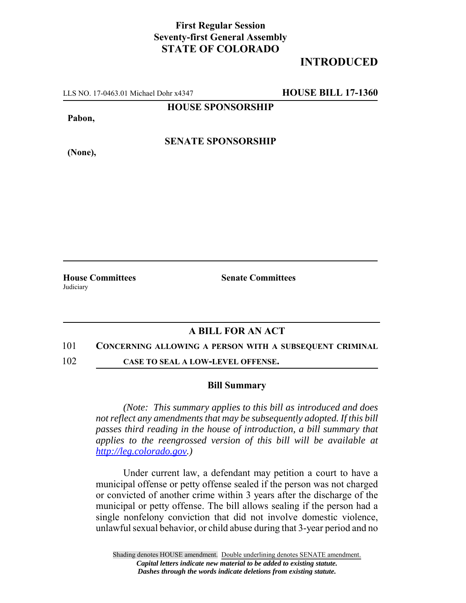## **First Regular Session Seventy-first General Assembly STATE OF COLORADO**

# **INTRODUCED**

LLS NO. 17-0463.01 Michael Dohr x4347 **HOUSE BILL 17-1360**

**HOUSE SPONSORSHIP**

**Pabon,**

**SENATE SPONSORSHIP**

**(None),**

**House Committees Senate Committees Judiciary** 

### **A BILL FOR AN ACT**

#### 101 **CONCERNING ALLOWING A PERSON WITH A SUBSEQUENT CRIMINAL**

102 **CASE TO SEAL A LOW-LEVEL OFFENSE.**

#### **Bill Summary**

*(Note: This summary applies to this bill as introduced and does not reflect any amendments that may be subsequently adopted. If this bill passes third reading in the house of introduction, a bill summary that applies to the reengrossed version of this bill will be available at http://leg.colorado.gov.)*

Under current law, a defendant may petition a court to have a municipal offense or petty offense sealed if the person was not charged or convicted of another crime within 3 years after the discharge of the municipal or petty offense. The bill allows sealing if the person had a single nonfelony conviction that did not involve domestic violence, unlawful sexual behavior, or child abuse during that 3-year period and no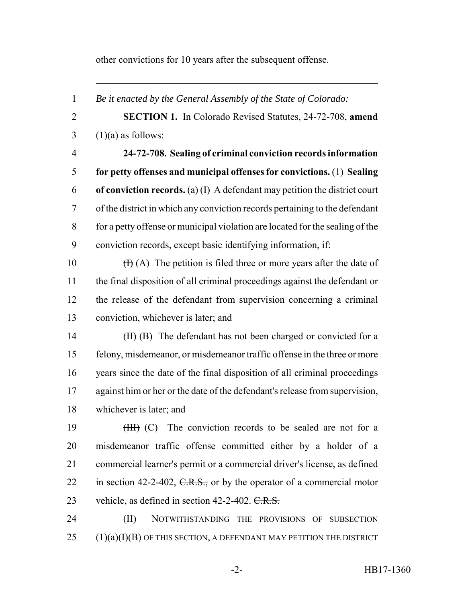other convictions for 10 years after the subsequent offense.

 *Be it enacted by the General Assembly of the State of Colorado:* **SECTION 1.** In Colorado Revised Statutes, 24-72-708, **amend**  $3 \quad (1)(a)$  as follows: **24-72-708. Sealing of criminal conviction records information for petty offenses and municipal offenses for convictions.** (1) **Sealing of conviction records.** (a) (I) A defendant may petition the district court of the district in which any conviction records pertaining to the defendant for a petty offense or municipal violation are located for the sealing of the conviction records, except basic identifying information, if:  $(H)(A)$  The petition is filed three or more years after the date of the final disposition of all criminal proceedings against the defendant or the release of the defendant from supervision concerning a criminal conviction, whichever is later; and 14 (II) (B) The defendant has not been charged or convicted for a felony, misdemeanor, or misdemeanor traffic offense in the three or more years since the date of the final disposition of all criminal proceedings against him or her or the date of the defendant's release from supervision, whichever is later; and 19 (III) (C) The conviction records to be sealed are not for a misdemeanor traffic offense committed either by a holder of a commercial learner's permit or a commercial driver's license, as defined 22 in section 42-2-402,  $C.R.S.,$  or by the operator of a commercial motor 23 vehicle, as defined in section  $42-2-402$ . C.R.S. (II) NOTWITHSTANDING THE PROVISIONS OF SUBSECTION (1)(a)(I)(B) OF THIS SECTION, A DEFENDANT MAY PETITION THE DISTRICT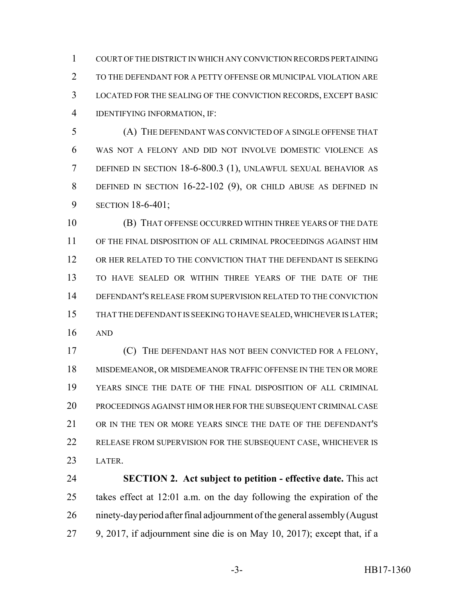COURT OF THE DISTRICT IN WHICH ANY CONVICTION RECORDS PERTAINING TO THE DEFENDANT FOR A PETTY OFFENSE OR MUNICIPAL VIOLATION ARE LOCATED FOR THE SEALING OF THE CONVICTION RECORDS, EXCEPT BASIC IDENTIFYING INFORMATION, IF:

 (A) THE DEFENDANT WAS CONVICTED OF A SINGLE OFFENSE THAT WAS NOT A FELONY AND DID NOT INVOLVE DOMESTIC VIOLENCE AS DEFINED IN SECTION 18-6-800.3 (1), UNLAWFUL SEXUAL BEHAVIOR AS DEFINED IN SECTION 16-22-102 (9), OR CHILD ABUSE AS DEFINED IN SECTION 18-6-401;

 (B) THAT OFFENSE OCCURRED WITHIN THREE YEARS OF THE DATE OF THE FINAL DISPOSITION OF ALL CRIMINAL PROCEEDINGS AGAINST HIM OR HER RELATED TO THE CONVICTION THAT THE DEFENDANT IS SEEKING TO HAVE SEALED OR WITHIN THREE YEARS OF THE DATE OF THE DEFENDANT'S RELEASE FROM SUPERVISION RELATED TO THE CONVICTION THAT THE DEFENDANT IS SEEKING TO HAVE SEALED, WHICHEVER IS LATER; AND

 (C) THE DEFENDANT HAS NOT BEEN CONVICTED FOR A FELONY, MISDEMEANOR, OR MISDEMEANOR TRAFFIC OFFENSE IN THE TEN OR MORE YEARS SINCE THE DATE OF THE FINAL DISPOSITION OF ALL CRIMINAL PROCEEDINGS AGAINST HIM OR HER FOR THE SUBSEQUENT CRIMINAL CASE OR IN THE TEN OR MORE YEARS SINCE THE DATE OF THE DEFENDANT'S RELEASE FROM SUPERVISION FOR THE SUBSEQUENT CASE, WHICHEVER IS LATER.

 **SECTION 2. Act subject to petition - effective date.** This act takes effect at 12:01 a.m. on the day following the expiration of the ninety-day period after final adjournment of the general assembly (August 9, 2017, if adjournment sine die is on May 10, 2017); except that, if a